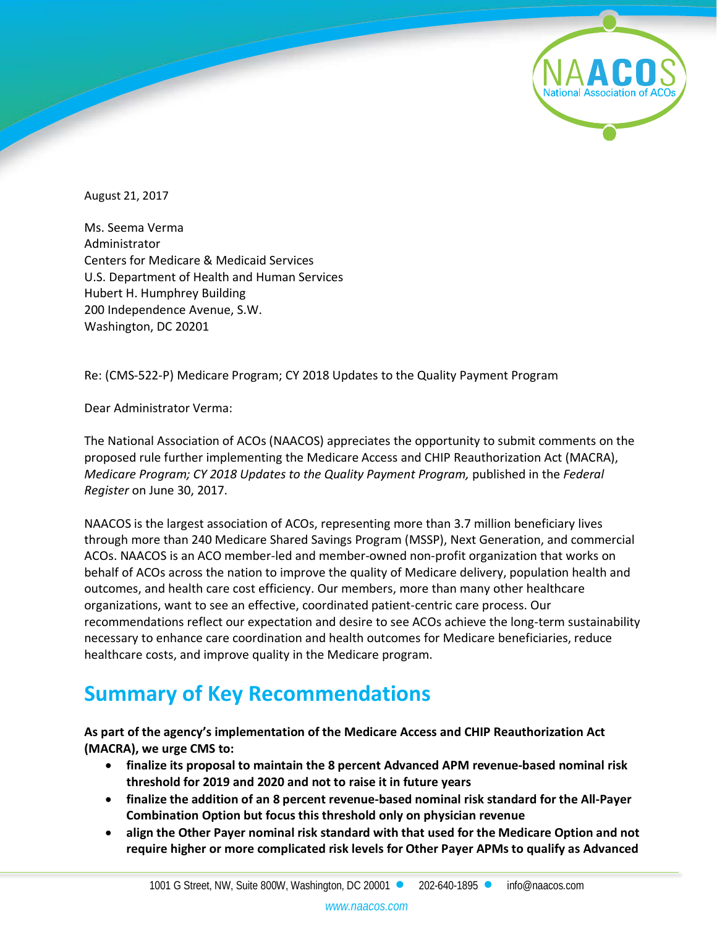

August 21, 2017

Ms. Seema Verma Administrator Centers for Medicare & Medicaid Services U.S. Department of Health and Human Services Hubert H. Humphrey Building 200 Independence Avenue, S.W. Washington, DC 20201

Re: (CMS-522-P) Medicare Program; CY 2018 Updates to the Quality Payment Program

Dear Administrator Verma:

The National Association of ACOs (NAACOS) appreciates the opportunity to submit comments on the proposed rule further implementing the Medicare Access and CHIP Reauthorization Act (MACRA), *Medicare Program; CY 2018 Updates to the Quality Payment Program,* published in the *Federal Register* on June 30, 2017.

NAACOS is the largest association of ACOs, representing more than 3.7 million beneficiary lives through more than 240 Medicare Shared Savings Program (MSSP), Next Generation, and commercial ACOs. NAACOS is an ACO member-led and member-owned non-profit organization that works on behalf of ACOs across the nation to improve the quality of Medicare delivery, population health and outcomes, and health care cost efficiency. Our members, more than many other healthcare organizations, want to see an effective, coordinated patient-centric care process. Our recommendations reflect our expectation and desire to see ACOs achieve the long-term sustainability necessary to enhance care coordination and health outcomes for Medicare beneficiaries, reduce healthcare costs, and improve quality in the Medicare program.

# **Summary of Key Recommendations**

**As part of the agency's implementation of the Medicare Access and CHIP Reauthorization Act (MACRA), we urge CMS to:**

- **finalize its proposal to maintain the 8 percent Advanced APM revenue-based nominal risk threshold for 2019 and 2020 and not to raise it in future years**
- **finalize the addition of an 8 percent revenue-based nominal risk standard for the All-Payer Combination Option but focus this threshold only on physician revenue**
- **align the Other Payer nominal risk standard with that used for the Medicare Option and not require higher or more complicated risk levels for Other Payer APMs to qualify as Advanced**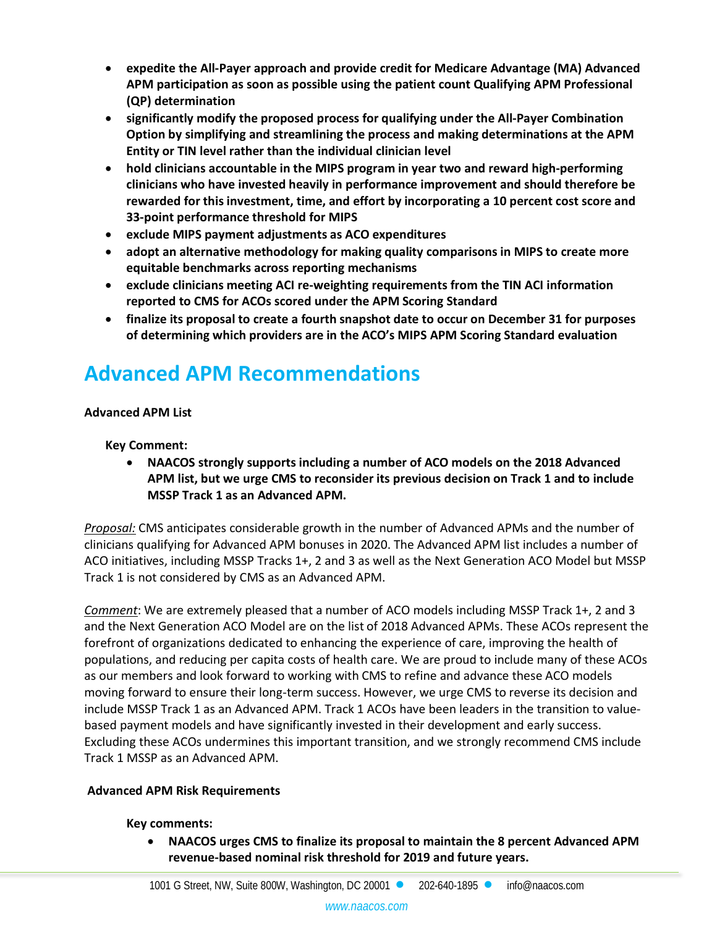- **expedite the All-Payer approach and provide credit for Medicare Advantage (MA) Advanced APM participation as soon as possible using the patient count Qualifying APM Professional (QP) determination**
- **significantly modify the proposed process for qualifying under the All-Payer Combination Option by simplifying and streamlining the process and making determinations at the APM Entity or TIN level rather than the individual clinician level**
- **hold clinicians accountable in the MIPS program in year two and reward high-performing clinicians who have invested heavily in performance improvement and should therefore be rewarded for this investment, time, and effort by incorporating a 10 percent cost score and 33-point performance threshold for MIPS**
- **exclude MIPS payment adjustments as ACO expenditures**
- **adopt an alternative methodology for making quality comparisons in MIPS to create more equitable benchmarks across reporting mechanisms**
- **exclude clinicians meeting ACI re-weighting requirements from the TIN ACI information reported to CMS for ACOs scored under the APM Scoring Standard**
- **finalize its proposal to create a fourth snapshot date to occur on December 31 for purposes of determining which providers are in the ACO's MIPS APM Scoring Standard evaluation**

## **Advanced APM Recommendations**

## **Advanced APM List**

**Key Comment:**

• **NAACOS strongly supports including a number of ACO models on the 2018 Advanced APM list, but we urge CMS to reconsider its previous decision on Track 1 and to include MSSP Track 1 as an Advanced APM.** 

*Proposal:* CMS anticipates considerable growth in the number of Advanced APMs and the number of clinicians qualifying for Advanced APM bonuses in 2020. The Advanced APM list includes a number of ACO initiatives, including MSSP Tracks 1+, 2 and 3 as well as the Next Generation ACO Model but MSSP Track 1 is not considered by CMS as an Advanced APM.

*Comment*: We are extremely pleased that a number of ACO models including MSSP Track 1+, 2 and 3 and the Next Generation ACO Model are on the list of 2018 Advanced APMs. These ACOs represent the forefront of organizations dedicated to enhancing the experience of care, improving the health of populations, and reducing per capita costs of health care. We are proud to include many of these ACOs as our members and look forward to working with CMS to refine and advance these ACO models moving forward to ensure their long-term success. However, we urge CMS to reverse its decision and include MSSP Track 1 as an Advanced APM. Track 1 ACOs have been leaders in the transition to valuebased payment models and have significantly invested in their development and early success. Excluding these ACOs undermines this important transition, and we strongly recommend CMS include Track 1 MSSP as an Advanced APM.

## **Advanced APM Risk Requirements**

#### **Key comments:**

• **NAACOS urges CMS to finalize its proposal to maintain the 8 percent Advanced APM revenue-based nominal risk threshold for 2019 and future years.**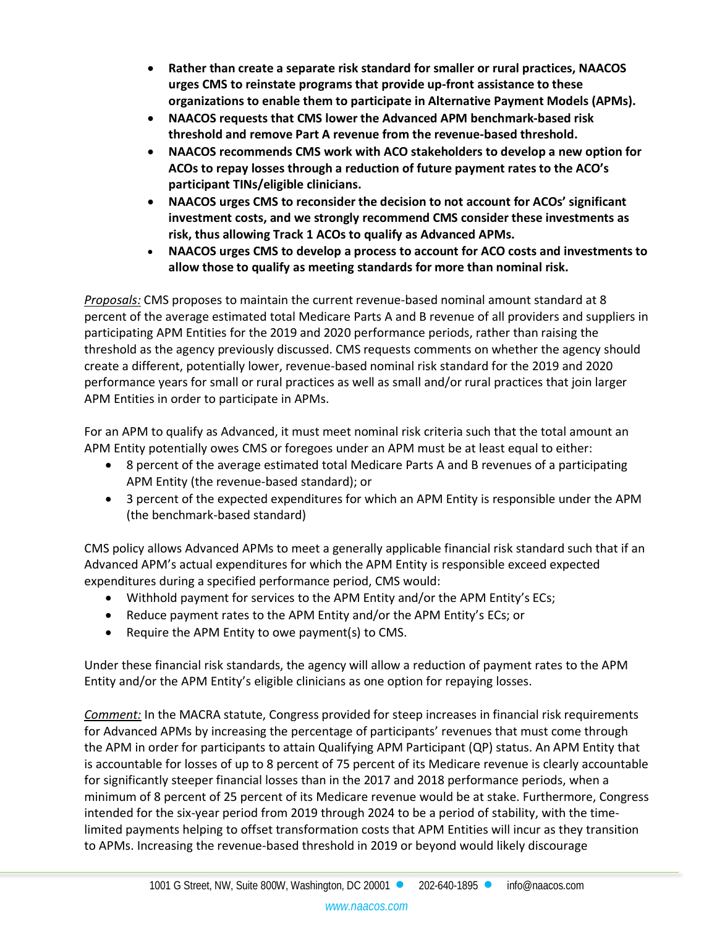- **Rather than create a separate risk standard for smaller or rural practices, NAACOS urges CMS to reinstate programs that provide up-front assistance to these organizations to enable them to participate in Alternative Payment Models (APMs).**
- **NAACOS requests that CMS lower the Advanced APM benchmark-based risk threshold and remove Part A revenue from the revenue-based threshold.**
- **NAACOS recommends CMS work with ACO stakeholders to develop a new option for ACOs to repay losses through a reduction of future payment rates to the ACO's participant TINs/eligible clinicians.**
- **NAACOS urges CMS to reconsider the decision to not account for ACOs' significant investment costs, and we strongly recommend CMS consider these investments as risk, thus allowing Track 1 ACOs to qualify as Advanced APMs.**
- **NAACOS urges CMS to develop a process to account for ACO costs and investments to allow those to qualify as meeting standards for more than nominal risk.**

*Proposals:* CMS proposes to maintain the current revenue-based nominal amount standard at 8 percent of the average estimated total Medicare Parts A and B revenue of all providers and suppliers in participating APM Entities for the 2019 and 2020 performance periods, rather than raising the threshold as the agency previously discussed. CMS requests comments on whether the agency should create a different, potentially lower, revenue-based nominal risk standard for the 2019 and 2020 performance years for small or rural practices as well as small and/or rural practices that join larger APM Entities in order to participate in APMs.

For an APM to qualify as Advanced, it must meet nominal risk criteria such that the total amount an APM Entity potentially owes CMS or foregoes under an APM must be at least equal to either:

- 8 percent of the average estimated total Medicare Parts A and B revenues of a participating APM Entity (the revenue-based standard); or
- 3 percent of the expected expenditures for which an APM Entity is responsible under the APM (the benchmark-based standard)

CMS policy allows Advanced APMs to meet a generally applicable financial risk standard such that if an Advanced APM's actual expenditures for which the APM Entity is responsible exceed expected expenditures during a specified performance period, CMS would:

- Withhold payment for services to the APM Entity and/or the APM Entity's ECs;
- Reduce payment rates to the APM Entity and/or the APM Entity's ECs; or
- Require the APM Entity to owe payment(s) to CMS.

Under these financial risk standards, the agency will allow a reduction of payment rates to the APM Entity and/or the APM Entity's eligible clinicians as one option for repaying losses.

*Comment:* In the MACRA statute, Congress provided for steep increases in financial risk requirements for Advanced APMs by increasing the percentage of participants' revenues that must come through the APM in order for participants to attain Qualifying APM Participant (QP) status. An APM Entity that is accountable for losses of up to 8 percent of 75 percent of its Medicare revenue is clearly accountable for significantly steeper financial losses than in the 2017 and 2018 performance periods, when a minimum of 8 percent of 25 percent of its Medicare revenue would be at stake. Furthermore, Congress intended for the six-year period from 2019 through 2024 to be a period of stability, with the timelimited payments helping to offset transformation costs that APM Entities will incur as they transition to APMs. Increasing the revenue-based threshold in 2019 or beyond would likely discourage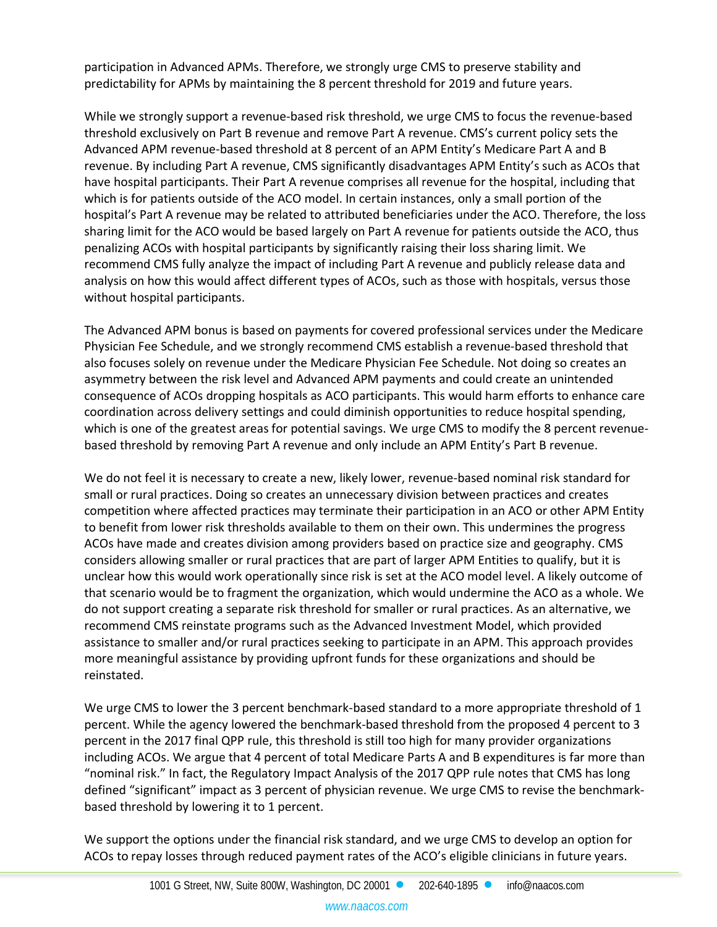participation in Advanced APMs. Therefore, we strongly urge CMS to preserve stability and predictability for APMs by maintaining the 8 percent threshold for 2019 and future years.

While we strongly support a revenue-based risk threshold, we urge CMS to focus the revenue-based threshold exclusively on Part B revenue and remove Part A revenue. CMS's current policy sets the Advanced APM revenue-based threshold at 8 percent of an APM Entity's Medicare Part A and B revenue. By including Part A revenue, CMS significantly disadvantages APM Entity's such as ACOs that have hospital participants. Their Part A revenue comprises all revenue for the hospital, including that which is for patients outside of the ACO model. In certain instances, only a small portion of the hospital's Part A revenue may be related to attributed beneficiaries under the ACO. Therefore, the loss sharing limit for the ACO would be based largely on Part A revenue for patients outside the ACO, thus penalizing ACOs with hospital participants by significantly raising their loss sharing limit. We recommend CMS fully analyze the impact of including Part A revenue and publicly release data and analysis on how this would affect different types of ACOs, such as those with hospitals, versus those without hospital participants.

The Advanced APM bonus is based on payments for covered professional services under the Medicare Physician Fee Schedule, and we strongly recommend CMS establish a revenue-based threshold that also focuses solely on revenue under the Medicare Physician Fee Schedule. Not doing so creates an asymmetry between the risk level and Advanced APM payments and could create an unintended consequence of ACOs dropping hospitals as ACO participants. This would harm efforts to enhance care coordination across delivery settings and could diminish opportunities to reduce hospital spending, which is one of the greatest areas for potential savings. We urge CMS to modify the 8 percent revenuebased threshold by removing Part A revenue and only include an APM Entity's Part B revenue.

We do not feel it is necessary to create a new, likely lower, revenue-based nominal risk standard for small or rural practices. Doing so creates an unnecessary division between practices and creates competition where affected practices may terminate their participation in an ACO or other APM Entity to benefit from lower risk thresholds available to them on their own. This undermines the progress ACOs have made and creates division among providers based on practice size and geography. CMS considers allowing smaller or rural practices that are part of larger APM Entities to qualify, but it is unclear how this would work operationally since risk is set at the ACO model level. A likely outcome of that scenario would be to fragment the organization, which would undermine the ACO as a whole. We do not support creating a separate risk threshold for smaller or rural practices. As an alternative, we recommend CMS reinstate programs such as the Advanced Investment Model, which provided assistance to smaller and/or rural practices seeking to participate in an APM. This approach provides more meaningful assistance by providing upfront funds for these organizations and should be reinstated.

We urge CMS to lower the 3 percent benchmark-based standard to a more appropriate threshold of 1 percent. While the agency lowered the benchmark-based threshold from the proposed 4 percent to 3 percent in the 2017 final QPP rule, this threshold is still too high for many provider organizations including ACOs. We argue that 4 percent of total Medicare Parts A and B expenditures is far more than "nominal risk." In fact, the Regulatory Impact Analysis of the 2017 QPP rule notes that CMS has long defined "significant" impact as 3 percent of physician revenue. We urge CMS to revise the benchmarkbased threshold by lowering it to 1 percent.

We support the options under the financial risk standard, and we urge CMS to develop an option for ACOs to repay losses through reduced payment rates of the ACO's eligible clinicians in future years.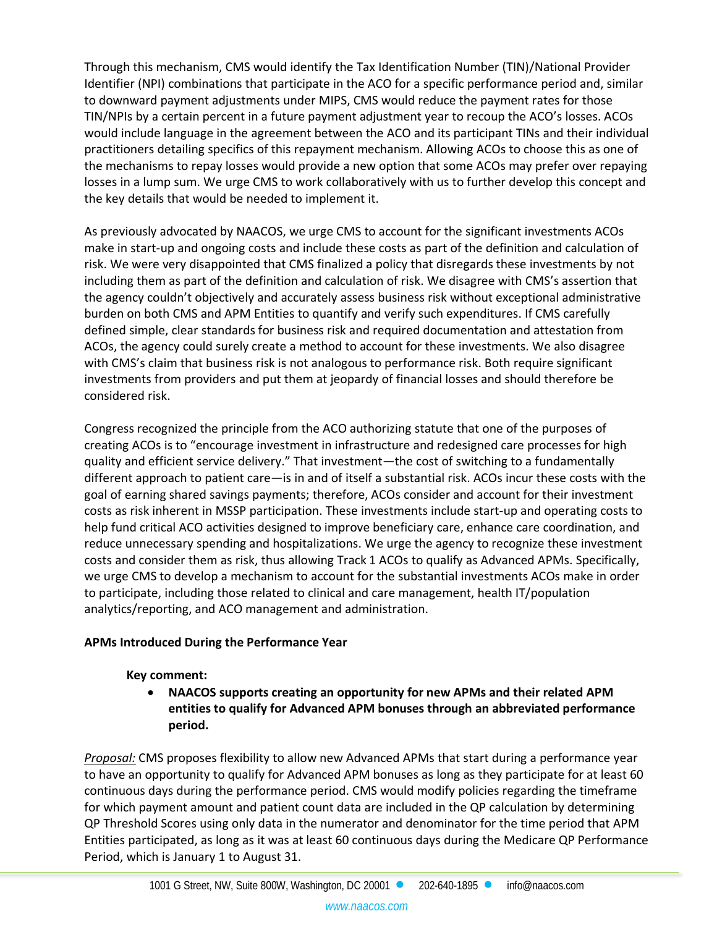Through this mechanism, CMS would identify the Tax Identification Number (TIN)/National Provider Identifier (NPI) combinations that participate in the ACO for a specific performance period and, similar to downward payment adjustments under MIPS, CMS would reduce the payment rates for those TIN/NPIs by a certain percent in a future payment adjustment year to recoup the ACO's losses. ACOs would include language in the agreement between the ACO and its participant TINs and their individual practitioners detailing specifics of this repayment mechanism. Allowing ACOs to choose this as one of the mechanisms to repay losses would provide a new option that some ACOs may prefer over repaying losses in a lump sum. We urge CMS to work collaboratively with us to further develop this concept and the key details that would be needed to implement it.

As previously advocated by NAACOS, we urge CMS to account for the significant investments ACOs make in start-up and ongoing costs and include these costs as part of the definition and calculation of risk. We were very disappointed that CMS finalized a policy that disregards these investments by not including them as part of the definition and calculation of risk. We disagree with CMS's assertion that the agency couldn't objectively and accurately assess business risk without exceptional administrative burden on both CMS and APM Entities to quantify and verify such expenditures. If CMS carefully defined simple, clear standards for business risk and required documentation and attestation from ACOs, the agency could surely create a method to account for these investments. We also disagree with CMS's claim that business risk is not analogous to performance risk. Both require significant investments from providers and put them at jeopardy of financial losses and should therefore be considered risk.

Congress recognized the principle from the ACO authorizing statute that one of the purposes of creating ACOs is to "encourage investment in infrastructure and redesigned care processes for high quality and efficient service delivery." That investment—the cost of switching to a fundamentally different approach to patient care—is in and of itself a substantial risk. ACOs incur these costs with the goal of earning shared savings payments; therefore, ACOs consider and account for their investment costs as risk inherent in MSSP participation. These investments include start-up and operating costs to help fund critical ACO activities designed to improve beneficiary care, enhance care coordination, and reduce unnecessary spending and hospitalizations. We urge the agency to recognize these investment costs and consider them as risk, thus allowing Track 1 ACOs to qualify as Advanced APMs. Specifically, we urge CMS to develop a mechanism to account for the substantial investments ACOs make in order to participate, including those related to clinical and care management, health IT/population analytics/reporting, and ACO management and administration.

## **APMs Introduced During the Performance Year**

## **Key comment:**

• **NAACOS supports creating an opportunity for new APMs and their related APM entities to qualify for Advanced APM bonuses through an abbreviated performance period.** 

*Proposal:* CMS proposes flexibility to allow new Advanced APMs that start during a performance year to have an opportunity to qualify for Advanced APM bonuses as long as they participate for at least 60 continuous days during the performance period. CMS would modify policies regarding the timeframe for which payment amount and patient count data are included in the QP calculation by determining QP Threshold Scores using only data in the numerator and denominator for the time period that APM Entities participated, as long as it was at least 60 continuous days during the Medicare QP Performance Period, which is January 1 to August 31.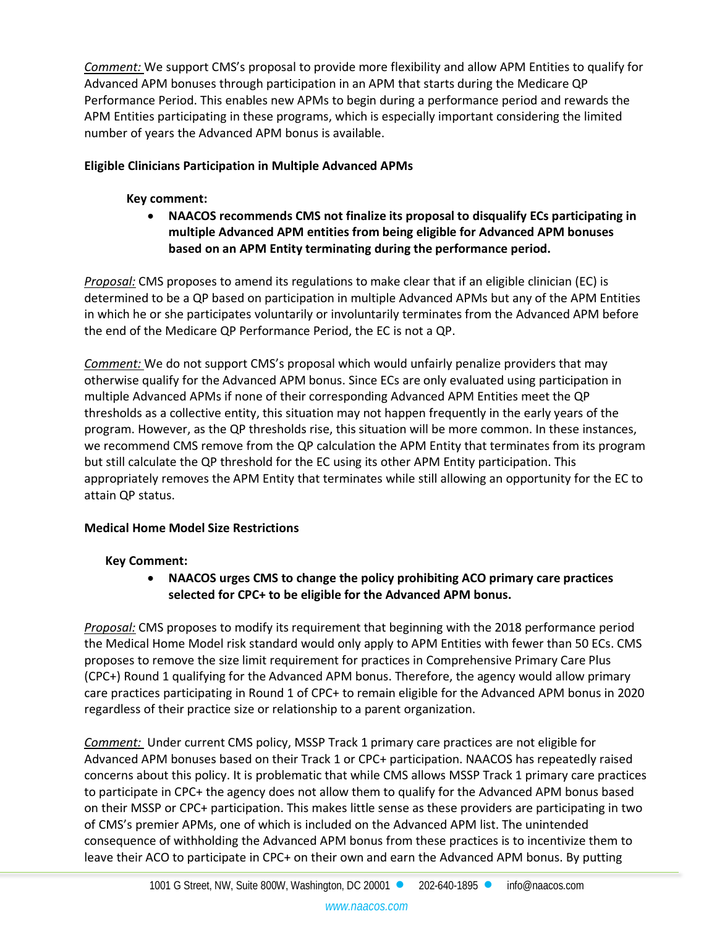*Comment:* We support CMS's proposal to provide more flexibility and allow APM Entities to qualify for Advanced APM bonuses through participation in an APM that starts during the Medicare QP Performance Period. This enables new APMs to begin during a performance period and rewards the APM Entities participating in these programs, which is especially important considering the limited number of years the Advanced APM bonus is available.

### **Eligible Clinicians Participation in Multiple Advanced APMs**

#### **Key comment:**

• **NAACOS recommends CMS not finalize its proposal to disqualify ECs participating in multiple Advanced APM entities from being eligible for Advanced APM bonuses based on an APM Entity terminating during the performance period.** 

*Proposal:* CMS proposes to amend its regulations to make clear that if an eligible clinician (EC) is determined to be a QP based on participation in multiple Advanced APMs but any of the APM Entities in which he or she participates voluntarily or involuntarily terminates from the Advanced APM before the end of the Medicare QP Performance Period, the EC is not a QP.

*Comment:* We do not support CMS's proposal which would unfairly penalize providers that may otherwise qualify for the Advanced APM bonus. Since ECs are only evaluated using participation in multiple Advanced APMs if none of their corresponding Advanced APM Entities meet the QP thresholds as a collective entity, this situation may not happen frequently in the early years of the program. However, as the QP thresholds rise, this situation will be more common. In these instances, we recommend CMS remove from the QP calculation the APM Entity that terminates from its program but still calculate the QP threshold for the EC using its other APM Entity participation. This appropriately removes the APM Entity that terminates while still allowing an opportunity for the EC to attain QP status.

## **Medical Home Model Size Restrictions**

## **Key Comment:**

• **NAACOS urges CMS to change the policy prohibiting ACO primary care practices selected for CPC+ to be eligible for the Advanced APM bonus.**

*Proposal:* CMS proposes to modify its requirement that beginning with the 2018 performance period the Medical Home Model risk standard would only apply to APM Entities with fewer than 50 ECs. CMS proposes to remove the size limit requirement for practices in Comprehensive Primary Care Plus (CPC+) Round 1 qualifying for the Advanced APM bonus. Therefore, the agency would allow primary care practices participating in Round 1 of CPC+ to remain eligible for the Advanced APM bonus in 2020 regardless of their practice size or relationship to a parent organization.

*Comment:* Under current CMS policy, MSSP Track 1 primary care practices are not eligible for Advanced APM bonuses based on their Track 1 or CPC+ participation. NAACOS has repeatedly raised concerns about this policy. It is problematic that while CMS allows MSSP Track 1 primary care practices to participate in CPC+ the agency does not allow them to qualify for the Advanced APM bonus based on their MSSP or CPC+ participation. This makes little sense as these providers are participating in two of CMS's premier APMs, one of which is included on the Advanced APM list. The unintended consequence of withholding the Advanced APM bonus from these practices is to incentivize them to leave their ACO to participate in CPC+ on their own and earn the Advanced APM bonus. By putting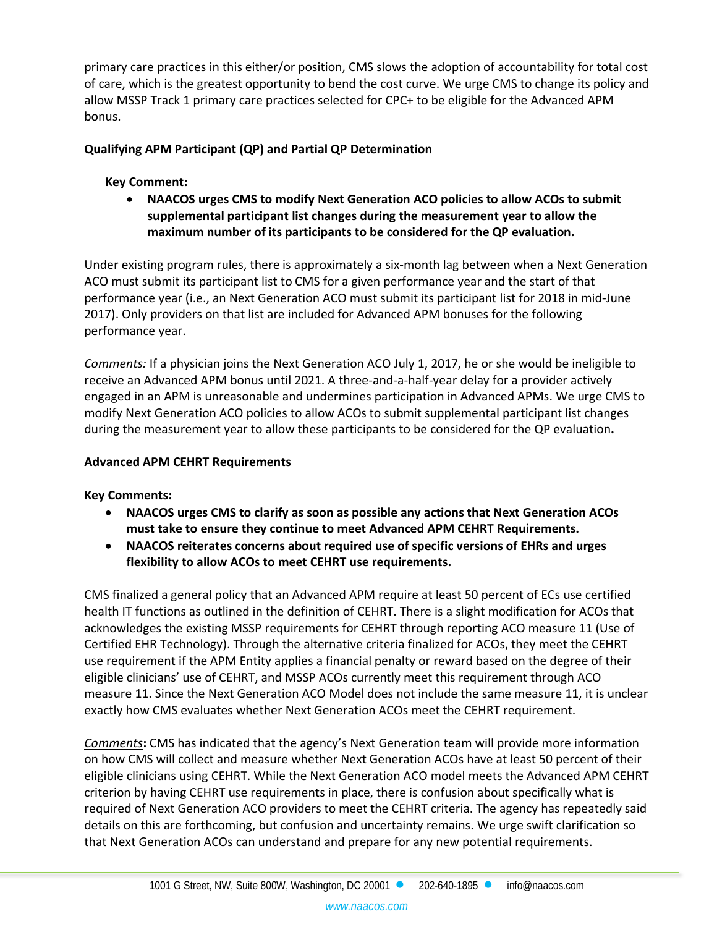primary care practices in this either/or position, CMS slows the adoption of accountability for total cost of care, which is the greatest opportunity to bend the cost curve. We urge CMS to change its policy and allow MSSP Track 1 primary care practices selected for CPC+ to be eligible for the Advanced APM bonus.

## **Qualifying APM Participant (QP) and Partial QP Determination**

## **Key Comment:**

• **NAACOS urges CMS to modify Next Generation ACO policies to allow ACOs to submit supplemental participant list changes during the measurement year to allow the maximum number of its participants to be considered for the QP evaluation.**

Under existing program rules, there is approximately a six-month lag between when a Next Generation ACO must submit its participant list to CMS for a given performance year and the start of that performance year (i.e., an Next Generation ACO must submit its participant list for 2018 in mid-June 2017). Only providers on that list are included for Advanced APM bonuses for the following performance year.

*Comments:* If a physician joins the Next Generation ACO July 1, 2017, he or she would be ineligible to receive an Advanced APM bonus until 2021. A three-and-a-half-year delay for a provider actively engaged in an APM is unreasonable and undermines participation in Advanced APMs. We urge CMS to modify Next Generation ACO policies to allow ACOs to submit supplemental participant list changes during the measurement year to allow these participants to be considered for the QP evaluation**.** 

## **Advanced APM CEHRT Requirements**

## **Key Comments:**

- **NAACOS urges CMS to clarify as soon as possible any actions that Next Generation ACOs must take to ensure they continue to meet Advanced APM CEHRT Requirements.**
- **NAACOS reiterates concerns about required use of specific versions of EHRs and urges flexibility to allow ACOs to meet CEHRT use requirements.**

CMS finalized a general policy that an Advanced APM require at least 50 percent of ECs use certified health IT functions as outlined in the definition of CEHRT. There is a slight modification for ACOs that acknowledges the existing MSSP requirements for CEHRT through reporting ACO measure 11 (Use of Certified EHR Technology). Through the alternative criteria finalized for ACOs, they meet the CEHRT use requirement if the APM Entity applies a financial penalty or reward based on the degree of their eligible clinicians' use of CEHRT, and MSSP ACOs currently meet this requirement through ACO measure 11. Since the Next Generation ACO Model does not include the same measure 11, it is unclear exactly how CMS evaluates whether Next Generation ACOs meet the CEHRT requirement.

*Comments***:** CMS has indicated that the agency's Next Generation team will provide more information on how CMS will collect and measure whether Next Generation ACOs have at least 50 percent of their eligible clinicians using CEHRT. While the Next Generation ACO model meets the Advanced APM CEHRT criterion by having CEHRT use requirements in place, there is confusion about specifically what is required of Next Generation ACO providers to meet the CEHRT criteria. The agency has repeatedly said details on this are forthcoming, but confusion and uncertainty remains. We urge swift clarification so that Next Generation ACOs can understand and prepare for any new potential requirements.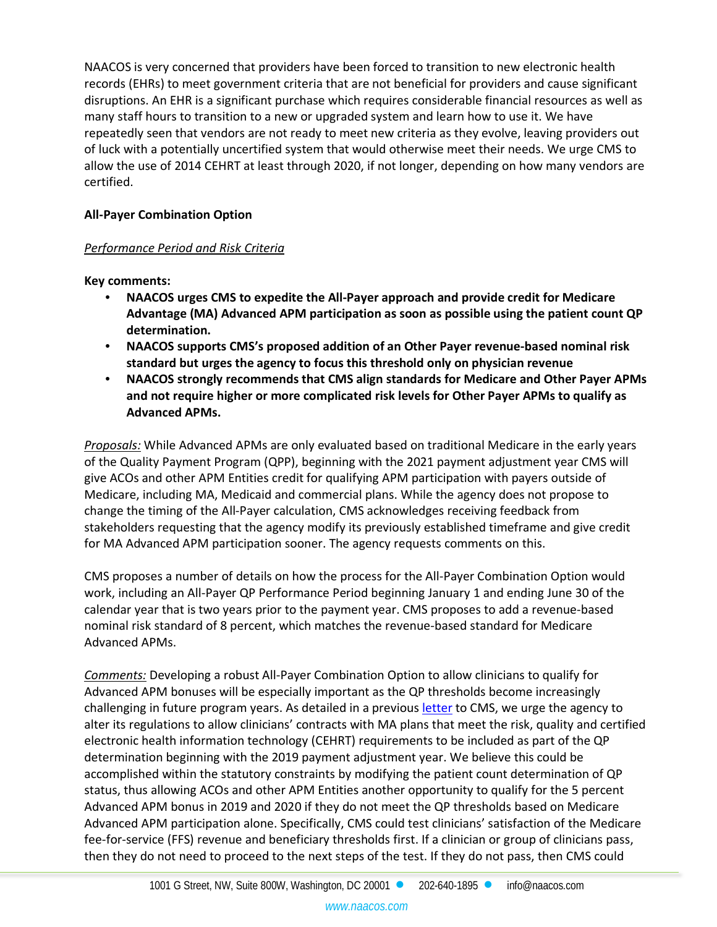NAACOS is very concerned that providers have been forced to transition to new electronic health records (EHRs) to meet government criteria that are not beneficial for providers and cause significant disruptions. An EHR is a significant purchase which requires considerable financial resources as well as many staff hours to transition to a new or upgraded system and learn how to use it. We have repeatedly seen that vendors are not ready to meet new criteria as they evolve, leaving providers out of luck with a potentially uncertified system that would otherwise meet their needs. We urge CMS to allow the use of 2014 CEHRT at least through 2020, if not longer, depending on how many vendors are certified.

## **All-Payer Combination Option**

## *Performance Period and Risk Criteria*

**Key comments:**

- **NAACOS urges CMS to expedite the All-Payer approach and provide credit for Medicare Advantage (MA) Advanced APM participation as soon as possible using the patient count QP determination.**
- **NAACOS supports CMS's proposed addition of an Other Payer revenue-based nominal risk standard but urges the agency to focus this threshold only on physician revenue**
- **NAACOS strongly recommends that CMS align standards for Medicare and Other Payer APMs and not require higher or more complicated risk levels for Other Payer APMs to qualify as Advanced APMs.**

*Proposals:* While Advanced APMs are only evaluated based on traditional Medicare in the early years of the Quality Payment Program (QPP), beginning with the 2021 payment adjustment year CMS will give ACOs and other APM Entities credit for qualifying APM participation with payers outside of Medicare, including MA, Medicaid and commercial plans. While the agency does not propose to change the timing of the All-Payer calculation, CMS acknowledges receiving feedback from stakeholders requesting that the agency modify its previously established timeframe and give credit for MA Advanced APM participation sooner. The agency requests comments on this.

CMS proposes a number of details on how the process for the All-Payer Combination Option would work, including an All-Payer QP Performance Period beginning January 1 and ending June 30 of the calendar year that is two years prior to the payment year. CMS proposes to add a revenue-based nominal risk standard of 8 percent, which matches the revenue-based standard for Medicare Advanced APMs.

*Comments:* Developing a robust All-Payer Combination Option to allow clinicians to qualify for Advanced APM bonuses will be especially important as the QP thresholds become increasingly challenging in future program years. As detailed in a previou[s letter](https://www.naacos.com/assets/docs/pdf/lettertocms-main2019-5_31_17_final.pdf) to CMS, we urge the agency to alter its regulations to allow clinicians' contracts with MA plans that meet the risk, quality and certified electronic health information technology (CEHRT) requirements to be included as part of the QP determination beginning with the 2019 payment adjustment year. We believe this could be accomplished within the statutory constraints by modifying the patient count determination of QP status, thus allowing ACOs and other APM Entities another opportunity to qualify for the 5 percent Advanced APM bonus in 2019 and 2020 if they do not meet the QP thresholds based on Medicare Advanced APM participation alone. Specifically, CMS could test clinicians' satisfaction of the Medicare fee-for-service (FFS) revenue and beneficiary thresholds first. If a clinician or group of clinicians pass, then they do not need to proceed to the next steps of the test. If they do not pass, then CMS could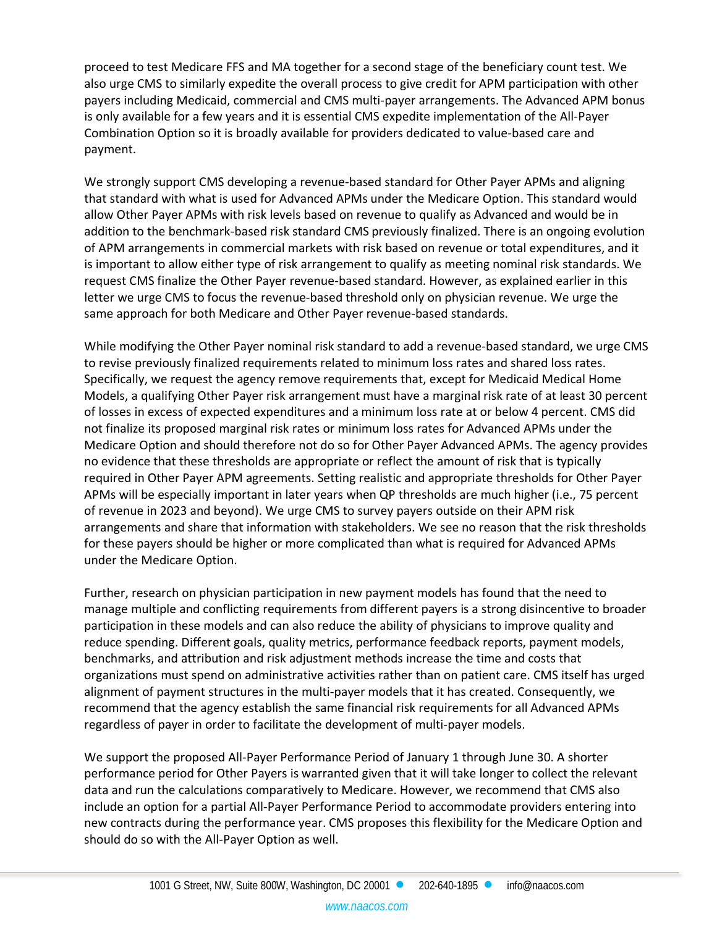proceed to test Medicare FFS and MA together for a second stage of the beneficiary count test. We also urge CMS to similarly expedite the overall process to give credit for APM participation with other payers including Medicaid, commercial and CMS multi-payer arrangements. The Advanced APM bonus is only available for a few years and it is essential CMS expedite implementation of the All-Payer Combination Option so it is broadly available for providers dedicated to value-based care and payment.

We strongly support CMS developing a revenue-based standard for Other Payer APMs and aligning that standard with what is used for Advanced APMs under the Medicare Option. This standard would allow Other Payer APMs with risk levels based on revenue to qualify as Advanced and would be in addition to the benchmark-based risk standard CMS previously finalized. There is an ongoing evolution of APM arrangements in commercial markets with risk based on revenue or total expenditures, and it is important to allow either type of risk arrangement to qualify as meeting nominal risk standards. We request CMS finalize the Other Payer revenue-based standard. However, as explained earlier in this letter we urge CMS to focus the revenue-based threshold only on physician revenue. We urge the same approach for both Medicare and Other Payer revenue-based standards.

While modifying the Other Payer nominal risk standard to add a revenue-based standard, we urge CMS to revise previously finalized requirements related to minimum loss rates and shared loss rates. Specifically, we request the agency remove requirements that, except for Medicaid Medical Home Models, a qualifying Other Payer risk arrangement must have a marginal risk rate of at least 30 percent of losses in excess of expected expenditures and a minimum loss rate at or below 4 percent. CMS did not finalize its proposed marginal risk rates or minimum loss rates for Advanced APMs under the Medicare Option and should therefore not do so for Other Payer Advanced APMs. The agency provides no evidence that these thresholds are appropriate or reflect the amount of risk that is typically required in Other Payer APM agreements. Setting realistic and appropriate thresholds for Other Payer APMs will be especially important in later years when QP thresholds are much higher (i.e., 75 percent of revenue in 2023 and beyond). We urge CMS to survey payers outside on their APM risk arrangements and share that information with stakeholders. We see no reason that the risk thresholds for these payers should be higher or more complicated than what is required for Advanced APMs under the Medicare Option.

Further, research on physician participation in new payment models has found that the need to manage multiple and conflicting requirements from different payers is a strong disincentive to broader participation in these models and can also reduce the ability of physicians to improve quality and reduce spending. Different goals, quality metrics, performance feedback reports, payment models, benchmarks, and attribution and risk adjustment methods increase the time and costs that organizations must spend on administrative activities rather than on patient care. CMS itself has urged alignment of payment structures in the multi-payer models that it has created. Consequently, we recommend that the agency establish the same financial risk requirements for all Advanced APMs regardless of payer in order to facilitate the development of multi-payer models.

We support the proposed All-Payer Performance Period of January 1 through June 30. A shorter performance period for Other Payers is warranted given that it will take longer to collect the relevant data and run the calculations comparatively to Medicare. However, we recommend that CMS also include an option for a partial All-Payer Performance Period to accommodate providers entering into new contracts during the performance year. CMS proposes this flexibility for the Medicare Option and should do so with the All-Payer Option as well.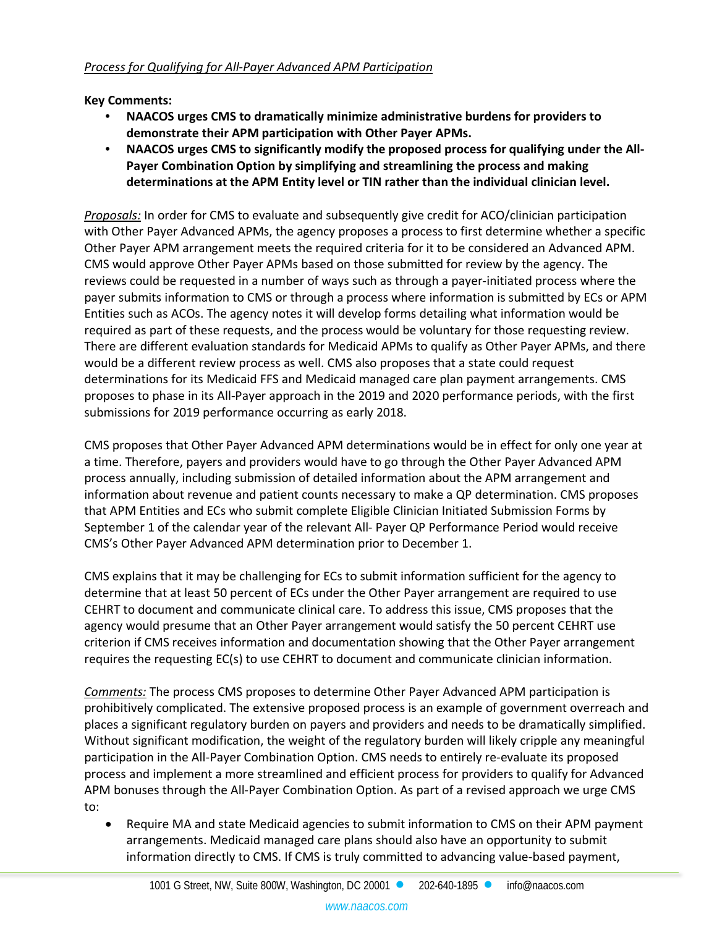**Key Comments:**

- **NAACOS urges CMS to dramatically minimize administrative burdens for providers to demonstrate their APM participation with Other Payer APMs.**
- **NAACOS urges CMS to significantly modify the proposed process for qualifying under the All-Payer Combination Option by simplifying and streamlining the process and making determinations at the APM Entity level or TIN rather than the individual clinician level.**

*Proposals:* In order for CMS to evaluate and subsequently give credit for ACO/clinician participation with Other Payer Advanced APMs, the agency proposes a process to first determine whether a specific Other Payer APM arrangement meets the required criteria for it to be considered an Advanced APM. CMS would approve Other Payer APMs based on those submitted for review by the agency. The reviews could be requested in a number of ways such as through a payer-initiated process where the payer submits information to CMS or through a process where information is submitted by ECs or APM Entities such as ACOs. The agency notes it will develop forms detailing what information would be required as part of these requests, and the process would be voluntary for those requesting review. There are different evaluation standards for Medicaid APMs to qualify as Other Payer APMs, and there would be a different review process as well. CMS also proposes that a state could request determinations for its Medicaid FFS and Medicaid managed care plan payment arrangements. CMS proposes to phase in its All-Payer approach in the 2019 and 2020 performance periods, with the first submissions for 2019 performance occurring as early 2018.

CMS proposes that Other Payer Advanced APM determinations would be in effect for only one year at a time. Therefore, payers and providers would have to go through the Other Payer Advanced APM process annually, including submission of detailed information about the APM arrangement and information about revenue and patient counts necessary to make a QP determination. CMS proposes that APM Entities and ECs who submit complete Eligible Clinician Initiated Submission Forms by September 1 of the calendar year of the relevant All- Payer QP Performance Period would receive CMS's Other Payer Advanced APM determination prior to December 1.

CMS explains that it may be challenging for ECs to submit information sufficient for the agency to determine that at least 50 percent of ECs under the Other Payer arrangement are required to use CEHRT to document and communicate clinical care. To address this issue, CMS proposes that the agency would presume that an Other Payer arrangement would satisfy the 50 percent CEHRT use criterion if CMS receives information and documentation showing that the Other Payer arrangement requires the requesting EC(s) to use CEHRT to document and communicate clinician information.

*Comments:* The process CMS proposes to determine Other Payer Advanced APM participation is prohibitively complicated. The extensive proposed process is an example of government overreach and places a significant regulatory burden on payers and providers and needs to be dramatically simplified. Without significant modification, the weight of the regulatory burden will likely cripple any meaningful participation in the All-Payer Combination Option. CMS needs to entirely re-evaluate its proposed process and implement a more streamlined and efficient process for providers to qualify for Advanced APM bonuses through the All-Payer Combination Option. As part of a revised approach we urge CMS to:

• Require MA and state Medicaid agencies to submit information to CMS on their APM payment arrangements. Medicaid managed care plans should also have an opportunity to submit information directly to CMS. If CMS is truly committed to advancing value-based payment,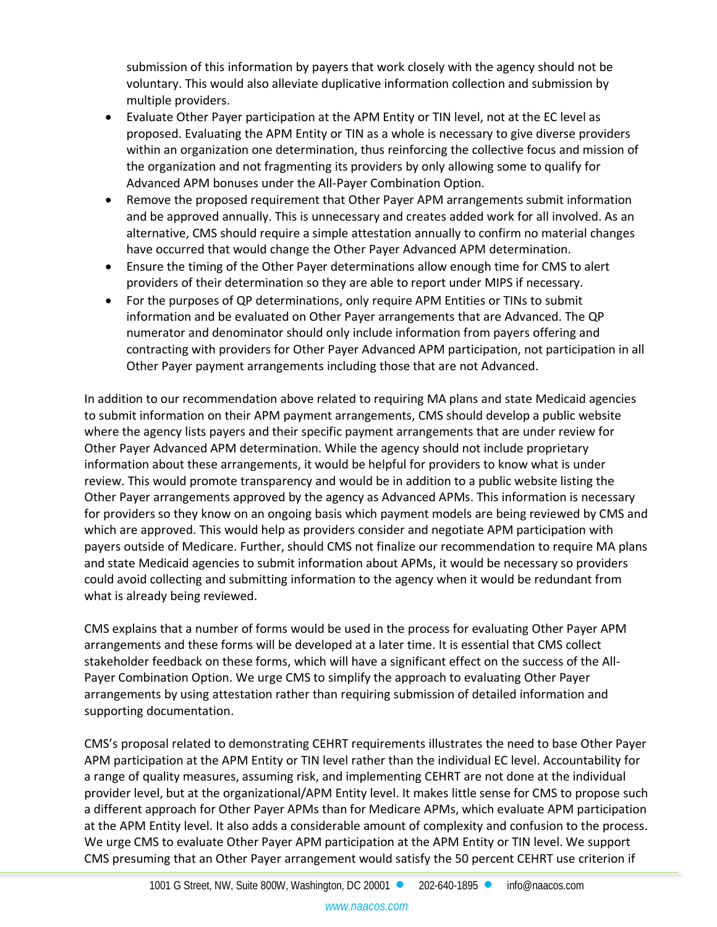submission of this information by payers that work closely with the agency should not be voluntary. This would also alleviate duplicative information collection and submission by multiple providers.

- Evaluate Other Payer participation at the APM Entity or TIN level, not at the EC level as proposed. Evaluating the APM Entity or TIN as a whole is necessary to give diverse providers within an organization one determination, thus reinforcing the collective focus and mission of the organization and not fragmenting its providers by only allowing some to qualify for Advanced APM bonuses under the All-Payer Combination Option.
- Remove the proposed requirement that Other Payer APM arrangements submit information and be approved annually. This is unnecessary and creates added work for all involved. As an alternative, CMS should require a simple attestation annually to confirm no material changes have occurred that would change the Other Payer Advanced APM determination.
- Ensure the timing of the Other Payer determinations allow enough time for CMS to alert providers of their determination so they are able to report under MIPS if necessary.
- For the purposes of QP determinations, only require APM Entities or TINs to submit information and be evaluated on Other Payer arrangements that are Advanced. The QP numerator and denominator should only include information from payers offering and contracting with providers for Other Payer Advanced APM participation, not participation in all Other Payer payment arrangements including those that are not Advanced.

In addition to our recommendation above related to requiring MA plans and state Medicaid agencies to submit information on their APM payment arrangements, CMS should develop a public website where the agency lists payers and their specific payment arrangements that are under review for Other Payer Advanced APM determination. While the agency should not include proprietary information about these arrangements, it would be helpful for providers to know what is under review. This would promote transparency and would be in addition to a public website listing the Other Payer arrangements approved by the agency as Advanced APMs. This information is necessary for providers so they know on an ongoing basis which payment models are being reviewed by CMS and which are approved. This would help as providers consider and negotiate APM participation with payers outside of Medicare. Further, should CMS not finalize our recommendation to require MA plans and state Medicaid agencies to submit information about APMs, it would be necessary so providers could avoid collecting and submitting information to the agency when it would be redundant from what is already being reviewed.

CMS explains that a number of forms would be used in the process for evaluating Other Payer APM arrangements and these forms will be developed at a later time. It is essential that CMS collect stakeholder feedback on these forms, which will have a significant effect on the success of the All-Payer Combination Option. We urge CMS to simplify the approach to evaluating Other Payer arrangements by using attestation rather than requiring submission of detailed information and supporting documentation.

CMS's proposal related to demonstrating CEHRT requirements illustrates the need to base Other Payer APM participation at the APM Entity or TIN level rather than the individual EC level. Accountability for a range of quality measures, assuming risk, and implementing CEHRT are not done at the individual provider level, but at the organizational/APM Entity level. It makes little sense for CMS to propose such a different approach for Other Payer APMs than for Medicare APMs, which evaluate APM participation at the APM Entity level. It also adds a considerable amount of complexity and confusion to the process. We urge CMS to evaluate Other Payer APM participation at the APM Entity or TIN level. We support CMS presuming that an Other Payer arrangement would satisfy the 50 percent CEHRT use criterion if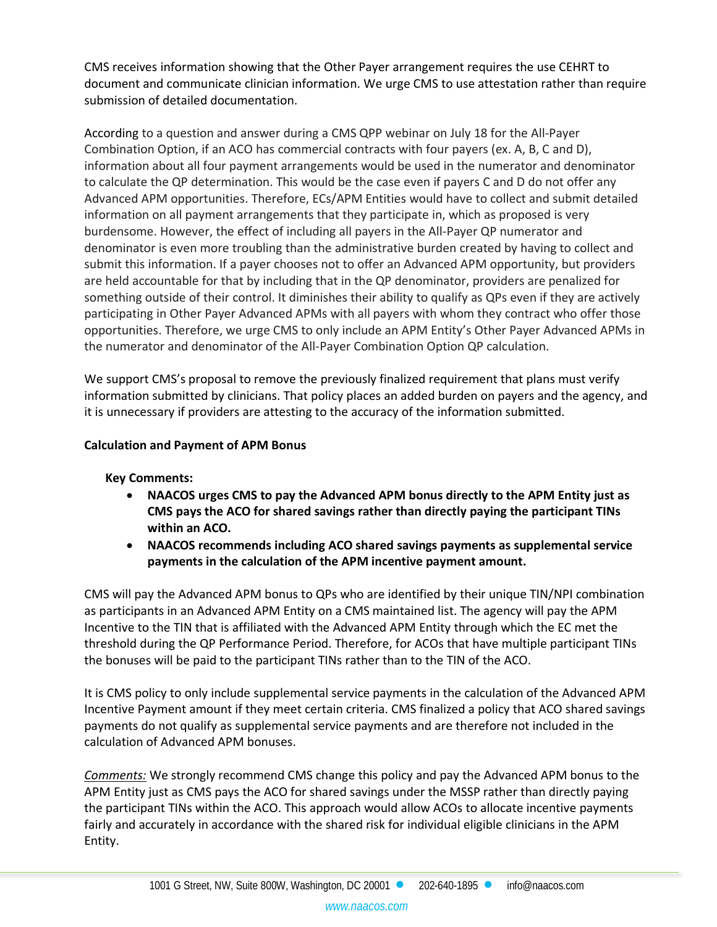CMS receives information showing that the Other Payer arrangement requires the use CEHRT to document and communicate clinician information. We urge CMS to use attestation rather than require submission of detailed documentation.

According to a question and answer during a CMS QPP webinar on July 18 for the All-Payer Combination Option, if an ACO has commercial contracts with four payers (ex. A, B, C and D), information about all four payment arrangements would be used in the numerator and denominator to calculate the QP determination. This would be the case even if payers C and D do not offer any Advanced APM opportunities. Therefore, ECs/APM Entities would have to collect and submit detailed information on all payment arrangements that they participate in, which as proposed is very burdensome. However, the effect of including all payers in the All-Payer QP numerator and denominator is even more troubling than the administrative burden created by having to collect and submit this information. If a payer chooses not to offer an Advanced APM opportunity, but providers are held accountable for that by including that in the QP denominator, providers are penalized for something outside of their control. It diminishes their ability to qualify as QPs even if they are actively participating in Other Payer Advanced APMs with all payers with whom they contract who offer those opportunities. Therefore, we urge CMS to only include an APM Entity's Other Payer Advanced APMs in the numerator and denominator of the All-Payer Combination Option QP calculation.

We support CMS's proposal to remove the previously finalized requirement that plans must verify information submitted by clinicians. That policy places an added burden on payers and the agency, and it is unnecessary if providers are attesting to the accuracy of the information submitted.

## **Calculation and Payment of APM Bonus**

## **Key Comments:**

- **NAACOS urges CMS to pay the Advanced APM bonus directly to the APM Entity just as CMS pays the ACO for shared savings rather than directly paying the participant TINs within an ACO.**
- **NAACOS recommends including ACO shared savings payments as supplemental service payments in the calculation of the APM incentive payment amount.**

CMS will pay the Advanced APM bonus to QPs who are identified by their unique TIN/NPI combination as participants in an Advanced APM Entity on a CMS maintained list. The agency will pay the APM Incentive to the TIN that is affiliated with the Advanced APM Entity through which the EC met the threshold during the QP Performance Period. Therefore, for ACOs that have multiple participant TINs the bonuses will be paid to the participant TINs rather than to the TIN of the ACO.

It is CMS policy to only include supplemental service payments in the calculation of the Advanced APM Incentive Payment amount if they meet certain criteria. CMS finalized a policy that ACO shared savings payments do not qualify as supplemental service payments and are therefore not included in the calculation of Advanced APM bonuses.

*Comments:* We strongly recommend CMS change this policy and pay the Advanced APM bonus to the APM Entity just as CMS pays the ACO for shared savings under the MSSP rather than directly paying the participant TINs within the ACO. This approach would allow ACOs to allocate incentive payments fairly and accurately in accordance with the shared risk for individual eligible clinicians in the APM Entity.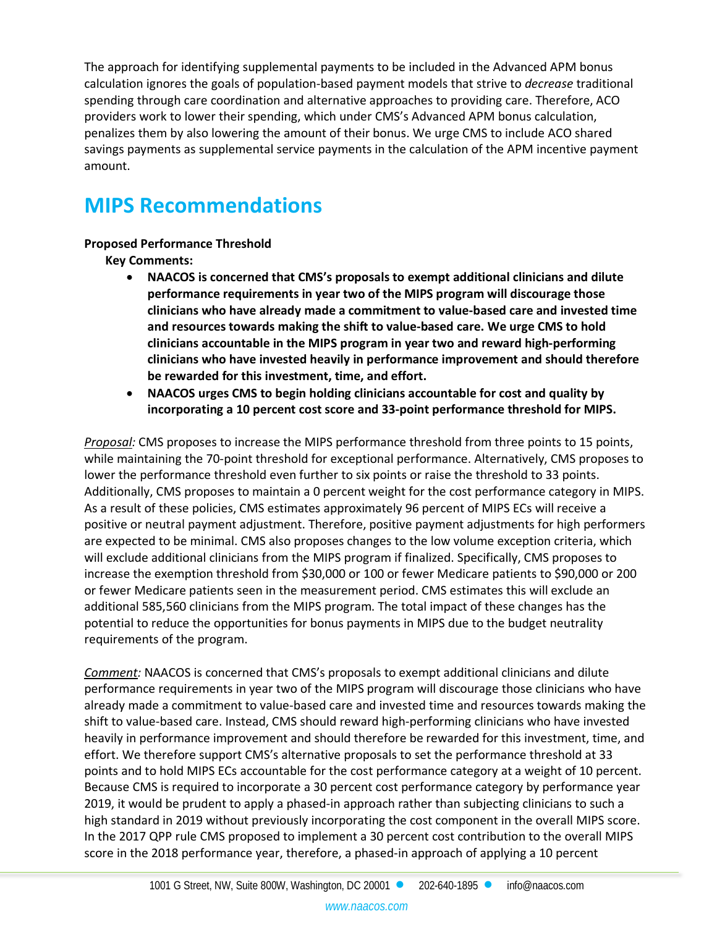The approach for identifying supplemental payments to be included in the Advanced APM bonus calculation ignores the goals of population-based payment models that strive to *decrease* traditional spending through care coordination and alternative approaches to providing care. Therefore, ACO providers work to lower their spending, which under CMS's Advanced APM bonus calculation, penalizes them by also lowering the amount of their bonus. We urge CMS to include ACO shared savings payments as supplemental service payments in the calculation of the APM incentive payment amount.

# **MIPS Recommendations**

## **Proposed Performance Threshold**

**Key Comments:**

- **NAACOS is concerned that CMS's proposals to exempt additional clinicians and dilute performance requirements in year two of the MIPS program will discourage those clinicians who have already made a commitment to value-based care and invested time and resources towards making the shift to value-based care. We urge CMS to hold clinicians accountable in the MIPS program in year two and reward high-performing clinicians who have invested heavily in performance improvement and should therefore be rewarded for this investment, time, and effort.**
- **NAACOS urges CMS to begin holding clinicians accountable for cost and quality by incorporating a 10 percent cost score and 33-point performance threshold for MIPS.**

*Proposal:* CMS proposes to increase the MIPS performance threshold from three points to 15 points, while maintaining the 70-point threshold for exceptional performance. Alternatively, CMS proposes to lower the performance threshold even further to six points or raise the threshold to 33 points. Additionally, CMS proposes to maintain a 0 percent weight for the cost performance category in MIPS. As a result of these policies, CMS estimates approximately 96 percent of MIPS ECs will receive a positive or neutral payment adjustment. Therefore, positive payment adjustments for high performers are expected to be minimal. CMS also proposes changes to the low volume exception criteria, which will exclude additional clinicians from the MIPS program if finalized. Specifically, CMS proposes to increase the exemption threshold from \$30,000 or 100 or fewer Medicare patients to \$90,000 or 200 or fewer Medicare patients seen in the measurement period. CMS estimates this will exclude an additional 585,560 clinicians from the MIPS program. The total impact of these changes has the potential to reduce the opportunities for bonus payments in MIPS due to the budget neutrality requirements of the program.

*Comment:* NAACOS is concerned that CMS's proposals to exempt additional clinicians and dilute performance requirements in year two of the MIPS program will discourage those clinicians who have already made a commitment to value-based care and invested time and resources towards making the shift to value-based care. Instead, CMS should reward high-performing clinicians who have invested heavily in performance improvement and should therefore be rewarded for this investment, time, and effort. We therefore support CMS's alternative proposals to set the performance threshold at 33 points and to hold MIPS ECs accountable for the cost performance category at a weight of 10 percent. Because CMS is required to incorporate a 30 percent cost performance category by performance year 2019, it would be prudent to apply a phased-in approach rather than subjecting clinicians to such a high standard in 2019 without previously incorporating the cost component in the overall MIPS score. In the 2017 QPP rule CMS proposed to implement a 30 percent cost contribution to the overall MIPS score in the 2018 performance year, therefore, a phased-in approach of applying a 10 percent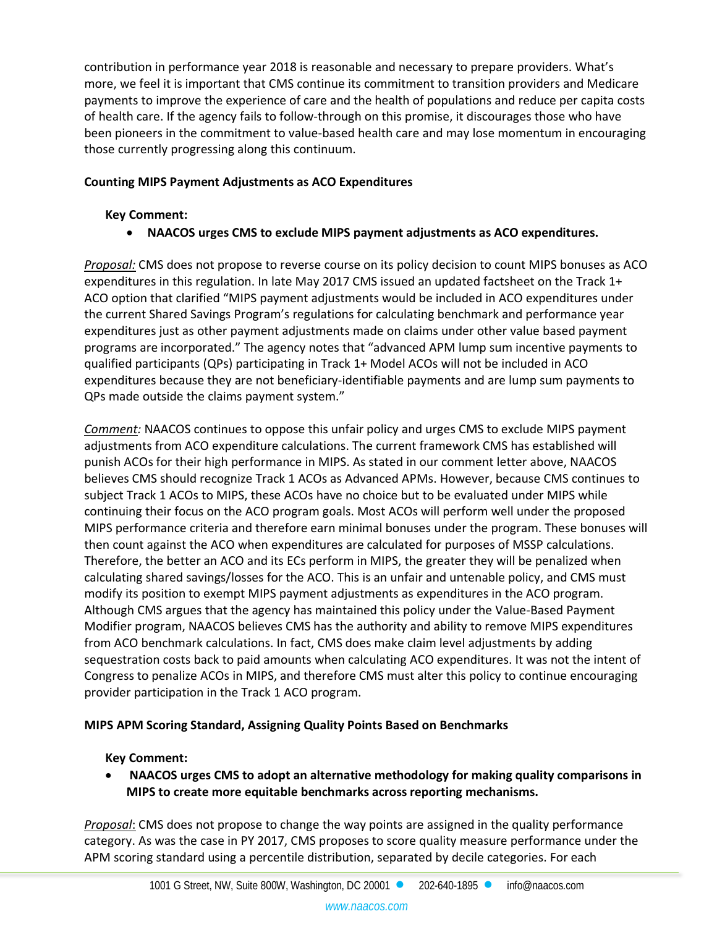contribution in performance year 2018 is reasonable and necessary to prepare providers. What's more, we feel it is important that CMS continue its commitment to transition providers and Medicare payments to improve the experience of care and the health of populations and reduce per capita costs of health care. If the agency fails to follow-through on this promise, it discourages those who have been pioneers in the commitment to value-based health care and may lose momentum in encouraging those currently progressing along this continuum.

## **Counting MIPS Payment Adjustments as ACO Expenditures**

### **Key Comment:**

• **NAACOS urges CMS to exclude MIPS payment adjustments as ACO expenditures.** 

*Proposal:* CMS does not propose to reverse course on its policy decision to count MIPS bonuses as ACO expenditures in this regulation. In late May 2017 CMS issued an updated factsheet on the Track 1+ ACO option that clarified "MIPS payment adjustments would be included in ACO expenditures under the current Shared Savings Program's regulations for calculating benchmark and performance year expenditures just as other payment adjustments made on claims under other value based payment programs are incorporated." The agency notes that "advanced APM lump sum incentive payments to qualified participants (QPs) participating in Track 1+ Model ACOs will not be included in ACO expenditures because they are not beneficiary-identifiable payments and are lump sum payments to QPs made outside the claims payment system."

*Comment:* NAACOS continues to oppose this unfair policy and urges CMS to exclude MIPS payment adjustments from ACO expenditure calculations. The current framework CMS has established will punish ACOs for their high performance in MIPS. As stated in our comment letter above, NAACOS believes CMS should recognize Track 1 ACOs as Advanced APMs. However, because CMS continues to subject Track 1 ACOs to MIPS, these ACOs have no choice but to be evaluated under MIPS while continuing their focus on the ACO program goals. Most ACOs will perform well under the proposed MIPS performance criteria and therefore earn minimal bonuses under the program. These bonuses will then count against the ACO when expenditures are calculated for purposes of MSSP calculations. Therefore, the better an ACO and its ECs perform in MIPS, the greater they will be penalized when calculating shared savings/losses for the ACO. This is an unfair and untenable policy, and CMS must modify its position to exempt MIPS payment adjustments as expenditures in the ACO program. Although CMS argues that the agency has maintained this policy under the Value-Based Payment Modifier program, NAACOS believes CMS has the authority and ability to remove MIPS expenditures from ACO benchmark calculations. In fact, CMS does make claim level adjustments by adding sequestration costs back to paid amounts when calculating ACO expenditures. It was not the intent of Congress to penalize ACOs in MIPS, and therefore CMS must alter this policy to continue encouraging provider participation in the Track 1 ACO program.

## **MIPS APM Scoring Standard, Assigning Quality Points Based on Benchmarks**

## **Key Comment:**

• **NAACOS urges CMS to adopt an alternative methodology for making quality comparisons in MIPS to create more equitable benchmarks across reporting mechanisms.**

*Proposal*: CMS does not propose to change the way points are assigned in the quality performance category. As was the case in PY 2017, CMS proposes to score quality measure performance under the APM scoring standard using a percentile distribution, separated by decile categories. For each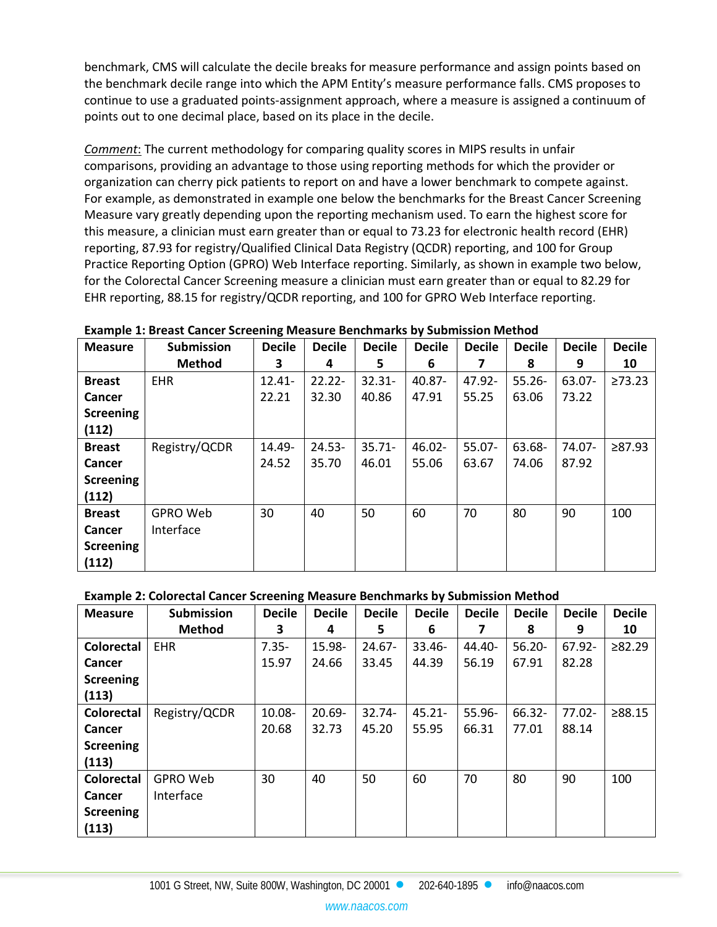benchmark, CMS will calculate the decile breaks for measure performance and assign points based on the benchmark decile range into which the APM Entity's measure performance falls. CMS proposes to continue to use a graduated points-assignment approach, where a measure is assigned a continuum of points out to one decimal place, based on its place in the decile.

*Comment*: The current methodology for comparing quality scores in MIPS results in unfair comparisons, providing an advantage to those using reporting methods for which the provider or organization can cherry pick patients to report on and have a lower benchmark to compete against. For example, as demonstrated in example one below the benchmarks for the Breast Cancer Screening Measure vary greatly depending upon the reporting mechanism used. To earn the highest score for this measure, a clinician must earn greater than or equal to 73.23 for electronic health record (EHR) reporting, 87.93 for registry/Qualified Clinical Data Registry (QCDR) reporting, and 100 for Group Practice Reporting Option (GPRO) Web Interface reporting. Similarly, as shown in example two below, for the Colorectal Cancer Screening measure a clinician must earn greater than or equal to 82.29 for EHR reporting, 88.15 for registry/QCDR reporting, and 100 for GPRO Web Interface reporting.

| <b>Measure</b>   | <b>Submission</b> | <b>Decile</b> | <b>Decile</b> | <b>Decile</b> | <b>Decile</b> | <b>Decile</b> | <b>Decile</b> | <b>Decile</b> | <b>Decile</b> |
|------------------|-------------------|---------------|---------------|---------------|---------------|---------------|---------------|---------------|---------------|
|                  | <b>Method</b>     | 3             | 4             | 5.            | 6             |               | 8             | 9             | 10            |
| <b>Breast</b>    | <b>EHR</b>        | $12.41 -$     | $22.22 -$     | $32.31 -$     | 40.87-        | 47.92-        | $55.26 -$     | 63.07-        | $\geq 73.23$  |
| <b>Cancer</b>    |                   | 22.21         | 32.30         | 40.86         | 47.91         | 55.25         | 63.06         | 73.22         |               |
| <b>Screening</b> |                   |               |               |               |               |               |               |               |               |
| (112)            |                   |               |               |               |               |               |               |               |               |
| <b>Breast</b>    | Registry/QCDR     | 14.49-        | $24.53 -$     | $35.71 -$     | 46.02-        | 55.07-        | 63.68-        | 74.07-        | ≥87.93        |
| <b>Cancer</b>    |                   | 24.52         | 35.70         | 46.01         | 55.06         | 63.67         | 74.06         | 87.92         |               |
| <b>Screening</b> |                   |               |               |               |               |               |               |               |               |
| (112)            |                   |               |               |               |               |               |               |               |               |
| <b>Breast</b>    | <b>GPRO Web</b>   | 30            | 40            | 50            | 60            | 70            | 80            | 90            | 100           |
| Cancer           | Interface         |               |               |               |               |               |               |               |               |
| <b>Screening</b> |                   |               |               |               |               |               |               |               |               |
| (112)            |                   |               |               |               |               |               |               |               |               |

#### **Example 2: Colorectal Cancer Screening Measure Benchmarks by Submission Method**

| <b>Measure</b>    | <b>Submission</b> | <b>Decile</b> | <b>Decile</b> | <b>Decile</b> | <b>Decile</b> | <b>Decile</b> | <b>Decile</b> | <b>Decile</b> | <b>Decile</b> |
|-------------------|-------------------|---------------|---------------|---------------|---------------|---------------|---------------|---------------|---------------|
|                   | <b>Method</b>     | 3             | 4             | 5             | 6             | 7             | 8             | 9             | 10            |
| <b>Colorectal</b> | <b>EHR</b>        | $7.35 -$      | 15.98-        | $24.67 -$     | $33.46 -$     | 44.40-        | $56.20 -$     | 67.92-        | ≥82.29        |
| Cancer            |                   | 15.97         | 24.66         | 33.45         | 44.39         | 56.19         | 67.91         | 82.28         |               |
| <b>Screening</b>  |                   |               |               |               |               |               |               |               |               |
| (113)             |                   |               |               |               |               |               |               |               |               |
| <b>Colorectal</b> | Registry/QCDR     | 10.08-        | $20.69 -$     | $32.74 -$     | $45.21 -$     | 55.96-        | 66.32-        | $77.02 -$     | ≥88.15        |
| Cancer            |                   | 20.68         | 32.73         | 45.20         | 55.95         | 66.31         | 77.01         | 88.14         |               |
| <b>Screening</b>  |                   |               |               |               |               |               |               |               |               |
| (113)             |                   |               |               |               |               |               |               |               |               |
| Colorectal        | GPRO Web          | 30            | 40            | 50            | 60            | 70            | 80            | 90            | 100           |
| Cancer            | Interface         |               |               |               |               |               |               |               |               |
| <b>Screening</b>  |                   |               |               |               |               |               |               |               |               |
| (113)             |                   |               |               |               |               |               |               |               |               |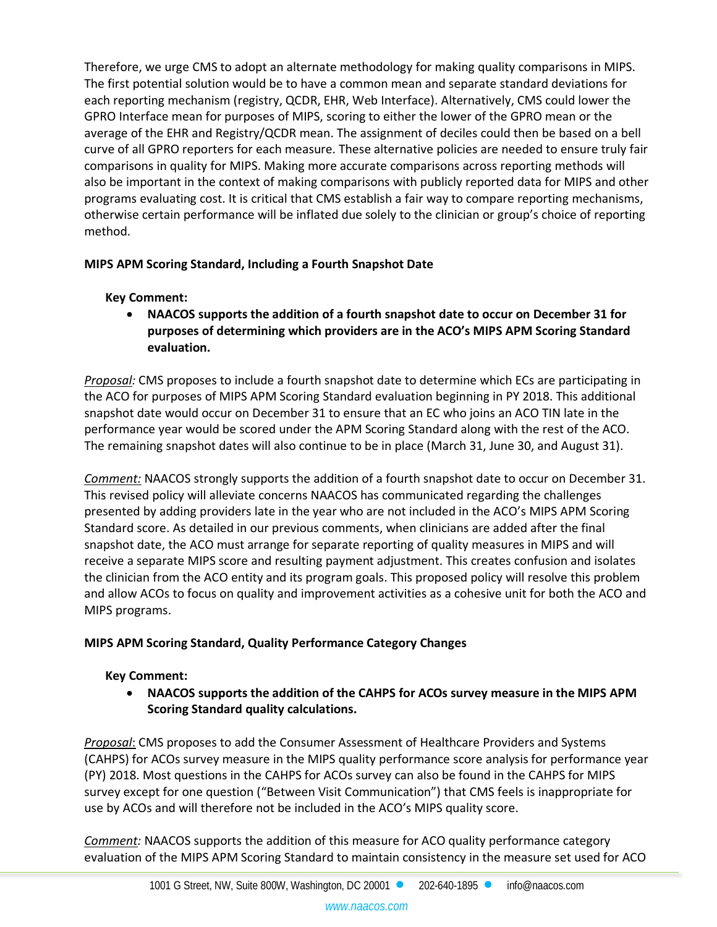Therefore, we urge CMS to adopt an alternate methodology for making quality comparisons in MIPS. The first potential solution would be to have a common mean and separate standard deviations for each reporting mechanism (registry, QCDR, EHR, Web Interface). Alternatively, CMS could lower the GPRO Interface mean for purposes of MIPS, scoring to either the lower of the GPRO mean or the average of the EHR and Registry/QCDR mean. The assignment of deciles could then be based on a bell curve of all GPRO reporters for each measure. These alternative policies are needed to ensure truly fair comparisons in quality for MIPS. Making more accurate comparisons across reporting methods will also be important in the context of making comparisons with publicly reported data for MIPS and other programs evaluating cost. It is critical that CMS establish a fair way to compare reporting mechanisms, otherwise certain performance will be inflated due solely to the clinician or group's choice of reporting method.

## **MIPS APM Scoring Standard, Including a Fourth Snapshot Date**

## **Key Comment:**

• **NAACOS supports the addition of a fourth snapshot date to occur on December 31 for purposes of determining which providers are in the ACO's MIPS APM Scoring Standard evaluation.**

*Proposal:* CMS proposes to include a fourth snapshot date to determine which ECs are participating in the ACO for purposes of MIPS APM Scoring Standard evaluation beginning in PY 2018. This additional snapshot date would occur on December 31 to ensure that an EC who joins an ACO TIN late in the performance year would be scored under the APM Scoring Standard along with the rest of the ACO. The remaining snapshot dates will also continue to be in place (March 31, June 30, and August 31).

*Comment:* NAACOS strongly supports the addition of a fourth snapshot date to occur on December 31. This revised policy will alleviate concerns NAACOS has communicated regarding the challenges presented by adding providers late in the year who are not included in the ACO's MIPS APM Scoring Standard score. As detailed in our previous comments, when clinicians are added after the final snapshot date, the ACO must arrange for separate reporting of quality measures in MIPS and will receive a separate MIPS score and resulting payment adjustment. This creates confusion and isolates the clinician from the ACO entity and its program goals. This proposed policy will resolve this problem and allow ACOs to focus on quality and improvement activities as a cohesive unit for both the ACO and MIPS programs.

## **MIPS APM Scoring Standard, Quality Performance Category Changes**

## **Key Comment:**

• **NAACOS supports the addition of the CAHPS for ACOs survey measure in the MIPS APM Scoring Standard quality calculations.**

*Proposal*: CMS proposes to add the Consumer Assessment of Healthcare Providers and Systems (CAHPS) for ACOs survey measure in the MIPS quality performance score analysis for performance year (PY) 2018. Most questions in the CAHPS for ACOs survey can also be found in the CAHPS for MIPS survey except for one question ("Between Visit Communication") that CMS feels is inappropriate for use by ACOs and will therefore not be included in the ACO's MIPS quality score.

*Comment:* NAACOS supports the addition of this measure for ACO quality performance category evaluation of the MIPS APM Scoring Standard to maintain consistency in the measure set used for ACO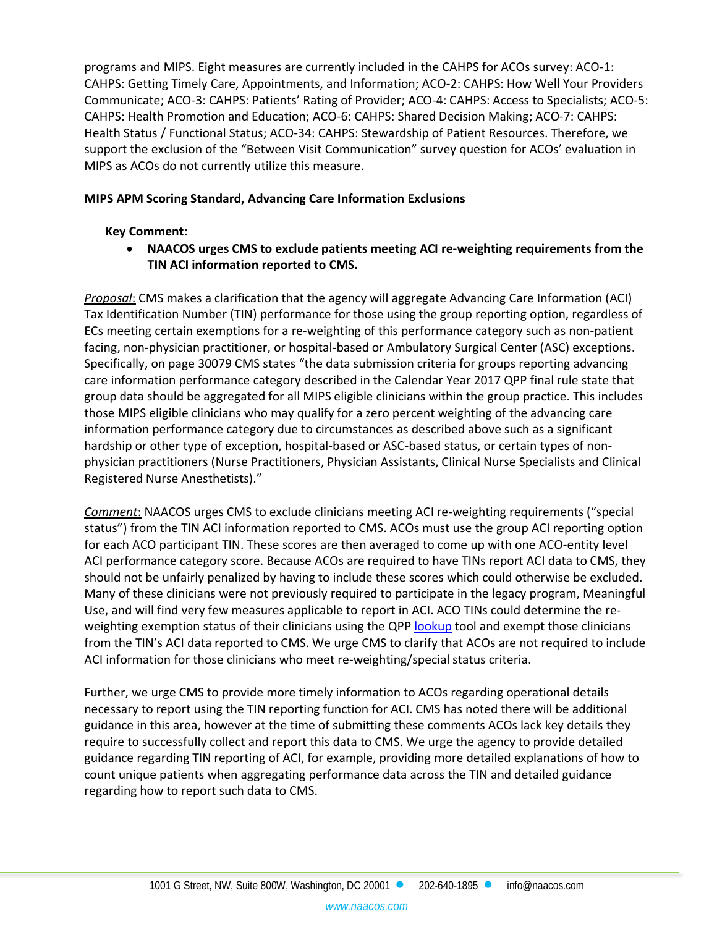programs and MIPS. Eight measures are currently included in the CAHPS for ACOs survey: ACO-1: CAHPS: Getting Timely Care, Appointments, and Information; ACO-2: CAHPS: How Well Your Providers Communicate; ACO-3: CAHPS: Patients' Rating of Provider; ACO-4: CAHPS: Access to Specialists; ACO-5: CAHPS: Health Promotion and Education; ACO-6: CAHPS: Shared Decision Making; ACO-7: CAHPS: Health Status / Functional Status; ACO-34: CAHPS: Stewardship of Patient Resources. Therefore, we support the exclusion of the "Between Visit Communication" survey question for ACOs' evaluation in MIPS as ACOs do not currently utilize this measure.

#### **MIPS APM Scoring Standard, Advancing Care Information Exclusions**

## **Key Comment:**

• **NAACOS urges CMS to exclude patients meeting ACI re-weighting requirements from the TIN ACI information reported to CMS.**

*Proposal*: CMS makes a clarification that the agency will aggregate Advancing Care Information (ACI) Tax Identification Number (TIN) performance for those using the group reporting option, regardless of ECs meeting certain exemptions for a re-weighting of this performance category such as non-patient facing, non-physician practitioner, or hospital-based or Ambulatory Surgical Center (ASC) exceptions. Specifically, on page 30079 CMS states "the data submission criteria for groups reporting advancing care information performance category described in the Calendar Year 2017 QPP final rule state that group data should be aggregated for all MIPS eligible clinicians within the group practice. This includes those MIPS eligible clinicians who may qualify for a zero percent weighting of the advancing care information performance category due to circumstances as described above such as a significant hardship or other type of exception, hospital-based or ASC-based status, or certain types of nonphysician practitioners (Nurse Practitioners, Physician Assistants, Clinical Nurse Specialists and Clinical Registered Nurse Anesthetists)."

*Comment*: NAACOS urges CMS to exclude clinicians meeting ACI re-weighting requirements ("special status") from the TIN ACI information reported to CMS. ACOs must use the group ACI reporting option for each ACO participant TIN. These scores are then averaged to come up with one ACO-entity level ACI performance category score. Because ACOs are required to have TINs report ACI data to CMS, they should not be unfairly penalized by having to include these scores which could otherwise be excluded. Many of these clinicians were not previously required to participate in the legacy program, Meaningful Use, and will find very few measures applicable to report in ACI. ACO TINs could determine the reweighting exemption status of their clinicians using the QPP [lookup](https://qpp.cms.gov/participation-lookup/about) tool and exempt those clinicians from the TIN's ACI data reported to CMS. We urge CMS to clarify that ACOs are not required to include ACI information for those clinicians who meet re-weighting/special status criteria.

Further, we urge CMS to provide more timely information to ACOs regarding operational details necessary to report using the TIN reporting function for ACI. CMS has noted there will be additional guidance in this area, however at the time of submitting these comments ACOs lack key details they require to successfully collect and report this data to CMS. We urge the agency to provide detailed guidance regarding TIN reporting of ACI, for example, providing more detailed explanations of how to count unique patients when aggregating performance data across the TIN and detailed guidance regarding how to report such data to CMS.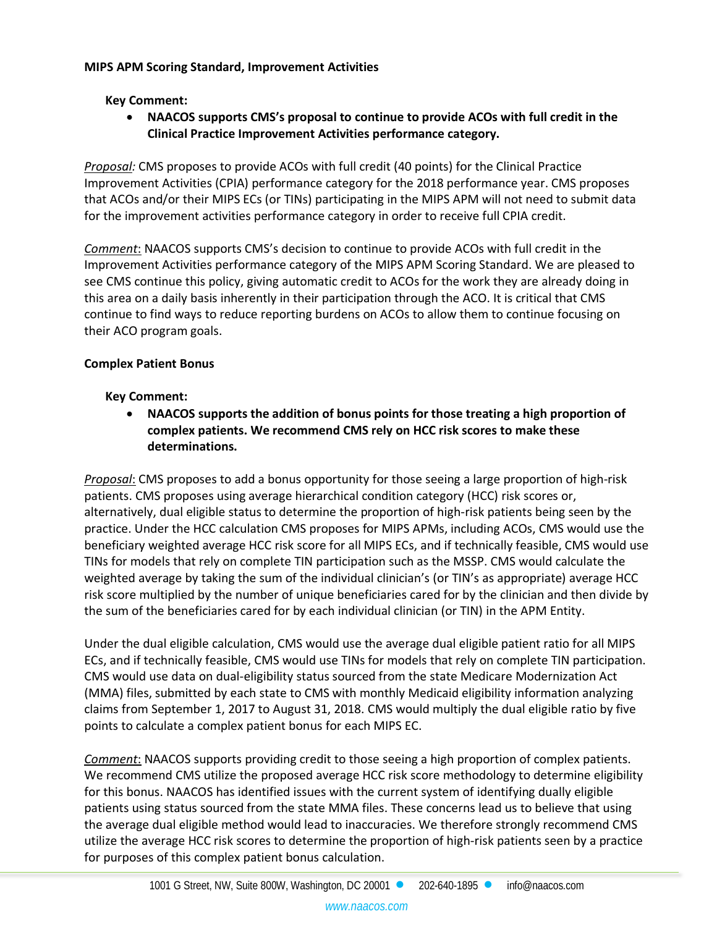#### **MIPS APM Scoring Standard, Improvement Activities**

## **Key Comment:**

• **NAACOS supports CMS's proposal to continue to provide ACOs with full credit in the Clinical Practice Improvement Activities performance category.**

*Proposal:* CMS proposes to provide ACOs with full credit (40 points) for the Clinical Practice Improvement Activities (CPIA) performance category for the 2018 performance year. CMS proposes that ACOs and/or their MIPS ECs (or TINs) participating in the MIPS APM will not need to submit data for the improvement activities performance category in order to receive full CPIA credit.

*Comment*: NAACOS supports CMS's decision to continue to provide ACOs with full credit in the Improvement Activities performance category of the MIPS APM Scoring Standard. We are pleased to see CMS continue this policy, giving automatic credit to ACOs for the work they are already doing in this area on a daily basis inherently in their participation through the ACO. It is critical that CMS continue to find ways to reduce reporting burdens on ACOs to allow them to continue focusing on their ACO program goals.

## **Complex Patient Bonus**

#### **Key Comment:**

• **NAACOS supports the addition of bonus points for those treating a high proportion of complex patients. We recommend CMS rely on HCC risk scores to make these determinations.**

*Proposal*: CMS proposes to add a bonus opportunity for those seeing a large proportion of high-risk patients. CMS proposes using average hierarchical condition category (HCC) risk scores or, alternatively, dual eligible status to determine the proportion of high-risk patients being seen by the practice. Under the HCC calculation CMS proposes for MIPS APMs, including ACOs, CMS would use the beneficiary weighted average HCC risk score for all MIPS ECs, and if technically feasible, CMS would use TINs for models that rely on complete TIN participation such as the MSSP. CMS would calculate the weighted average by taking the sum of the individual clinician's (or TIN's as appropriate) average HCC risk score multiplied by the number of unique beneficiaries cared for by the clinician and then divide by the sum of the beneficiaries cared for by each individual clinician (or TIN) in the APM Entity.

Under the dual eligible calculation, CMS would use the average dual eligible patient ratio for all MIPS ECs, and if technically feasible, CMS would use TINs for models that rely on complete TIN participation. CMS would use data on dual-eligibility status sourced from the state Medicare Modernization Act (MMA) files, submitted by each state to CMS with monthly Medicaid eligibility information analyzing claims from September 1, 2017 to August 31, 2018. CMS would multiply the dual eligible ratio by five points to calculate a complex patient bonus for each MIPS EC.

*Comment*: NAACOS supports providing credit to those seeing a high proportion of complex patients. We recommend CMS utilize the proposed average HCC risk score methodology to determine eligibility for this bonus. NAACOS has identified issues with the current system of identifying dually eligible patients using status sourced from the state MMA files. These concerns lead us to believe that using the average dual eligible method would lead to inaccuracies. We therefore strongly recommend CMS utilize the average HCC risk scores to determine the proportion of high-risk patients seen by a practice for purposes of this complex patient bonus calculation.